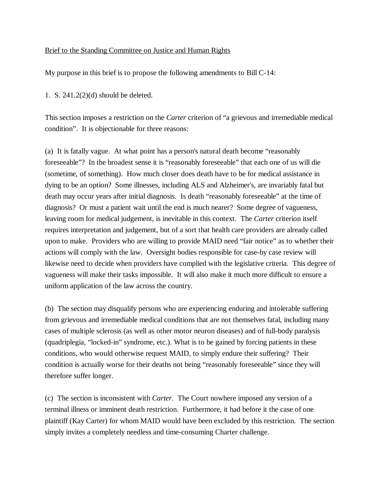## Brief to the Standing Committee on Justice and Human Rights

My purpose in this brief is to propose the following amendments to Bill C-14:

1. S. 241.2(2)(d) should be deleted.

This section imposes a restriction on the *Carter* criterion of "a grievous and irremediable medical condition". It is objectionable for three reasons:

(a) It is fatally vague. At what point has a person's natural death become "reasonably foreseeable"? In the broadest sense it is "reasonably foreseeable" that each one of us will die (sometime, of something). How much closer does death have to be for medical assistance in dying to be an option? Some illnesses, including ALS and Alzheimer's, are invariably fatal but death may occur years after initial diagnosis. Is death "reasonably foreseeable" at the time of diagnosis? Or must a patient wait until the end is much nearer? Some degree of vagueness, leaving room for medical judgement, is inevitable in this context. The *Carter* criterion itself requires interpretation and judgement, but of a sort that health care providers are already called upon to make. Providers who are willing to provide MAID need "fair notice" as to whether their actions will comply with the law. Oversight bodies responsible for case-by case review will likewise need to decide when providers have complied with the legislative criteria. This degree of vagueness will make their tasks impossible. It will also make it much more difficult to ensure a uniform application of the law across the country.

(b) The section may disqualify persons who are experiencing enduring and intolerable suffering from grievous and irremediable medical conditions that are not themselves fatal, including many cases of multiple sclerosis (as well as other motor neuron diseases) and of full-body paralysis (quadriplegia, "locked-in" syndrome, etc.). What is to be gained by forcing patients in these conditions, who would otherwise request MAID, to simply endure their suffering? Their condition is actually worse for their deaths not being "reasonably foreseeable" since they will therefore suffer longer.

(c) The section is inconsistent with *Carter*. The Court nowhere imposed any version of a terminal illness or imminent death restriction. Furthermore, it had before it the case of one plaintiff (Kay Carter) for whom MAID would have been excluded by this restriction. The section simply invites a completely needless and time-consuming Charter challenge.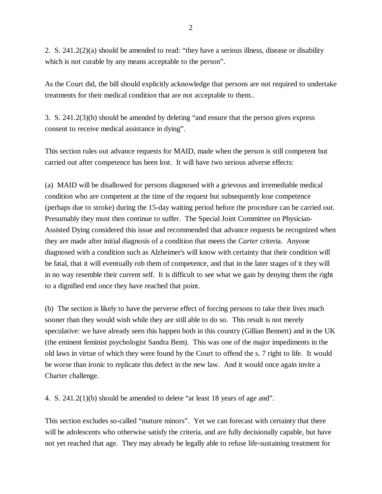2. S. 241.2(2)(a) should be amended to read: "they have a serious illness, disease or disability which is not curable by any means acceptable to the person".

As the Court did, the bill should explicitly acknowledge that persons are not required to undertake treatments for their medical condition that are not acceptable to them..

3. S. 241.2(3)(h) should be amended by deleting "and ensure that the person gives express consent to receive medical assistance in dying".

This section rules out advance requests for MAID, made when the person is still competent but carried out after competence has been lost. It will have two serious adverse effects:

(a) MAID will be disallowed for persons diagnosed with a grievous and irremediable medical condition who are competent at the time of the request but subsequently lose competence (perhaps due to stroke) during the 15-day waiting period before the procedure can be carried out. Presumably they must then continue to suffer. The Special Joint Committee on Physician-Assisted Dying considered this issue and recommended that advance requests be recognized when they are made after initial diagnosis of a condition that meets the *Carter* criteria. Anyone diagnosed with a condition such as Alzheimer's will know with certainty that their condition will be fatal, that it will eventually rob them of competence, and that in the later stages of it they will in no way resemble their current self. It is difficult to see what we gain by denying them the right to a dignified end once they have reached that point.

(b) The section is likely to have the perverse effect of forcing persons to take their lives much sooner than they would wish while they are still able to do so. This result is not merely speculative: we have already seen this happen both in this country (Gillian Bennett) and in the UK (the eminent feminist psychologist Sandra Bem). This was one of the major impediments in the old laws in virtue of which they were found by the Court to offend the s. 7 right to life. It would be worse than ironic to replicate this defect in the new law. And it would once again invite a Charter challenge.

4. S. 241.2(1)(b) should be amended to delete "at least 18 years of age and".

This section excludes so-called "mature minors". Yet we can forecast with certainty that there will be adolescents who otherwise satisfy the criteria, and are fully decisionally capable, but have not yet reached that age. They may already be legally able to refuse life-sustaining treatment for